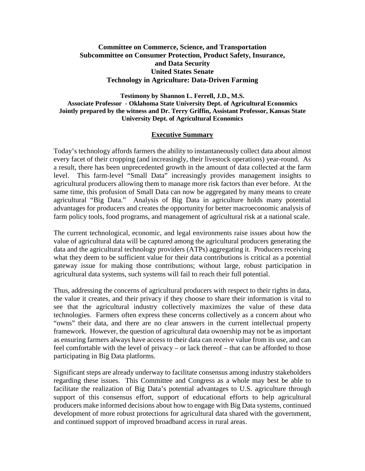### **Committee on Commerce, Science, and Transportation Subcommittee on Consumer Protection, Product Safety, Insurance, and Data Security United States Senate Technology in Agriculture: Data-Driven Farming**

**Testimony by Shannon L. Ferrell, J.D., M.S. Associate Professor - Oklahoma State University Dept. of Agricultural Economics Jointly prepared by the witness and Dr. Terry Griffin, Assistant Professor, Kansas State University Dept. of Agricultural Economics**

#### **Executive Summary**

Today's technology affords farmers the ability to instantaneously collect data about almost every facet of their cropping (and increasingly, their livestock operations) year-round. As a result, there has been unprecedented growth in the amount of data collected at the farm level. This farm-level "Small Data" increasingly provides management insights to agricultural producers allowing them to manage more risk factors than ever before. At the same time, this profusion of Small Data can now be aggregated by many means to create agricultural "Big Data." Analysis of Big Data in agriculture holds many potential advantages for producers and creates the opportunity for better macroeconomic analysis of farm policy tools, food programs, and management of agricultural risk at a national scale.

The current technological, economic, and legal environments raise issues about how the value of agricultural data will be captured among the agricultural producers generating the data and the agricultural technology providers (ATPs) aggregating it. Producers receiving what they deem to be sufficient value for their data contributions is critical as a potential gateway issue for making those contributions; without large, robust participation in agricultural data systems, such systems will fail to reach their full potential.

Thus, addressing the concerns of agricultural producers with respect to their rights in data, the value it creates, and their privacy if they choose to share their information is vital to see that the agricultural industry collectively maximizes the value of these data technologies. Farmers often express these concerns collectively as a concern about who "owns" their data, and there are no clear answers in the current intellectual property framework. However, the question of agricultural data ownership may not be as important as ensuring farmers always have access to their data can receive value from its use, and can feel comfortable with the level of privacy – or lack thereof – that can be afforded to those participating in Big Data platforms.

Significant steps are already underway to facilitate consensus among industry stakeholders regarding these issues. This Committee and Congress as a whole may best be able to facilitate the realization of Big Data's potential advantages to U.S. agriculture through support of this consensus effort, support of educational efforts to help agricultural producers make informed decisions about how to engage with Big Data systems, continued development of more robust protections for agricultural data shared with the government, and continued support of improved broadband access in rural areas.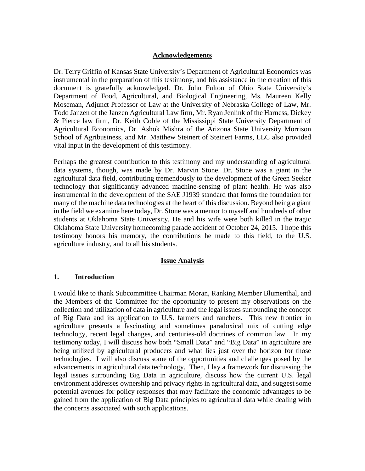### **Acknowledgements**

Dr. Terry Griffin of Kansas State University's Department of Agricultural Economics was instrumental in the preparation of this testimony, and his assistance in the creation of this document is gratefully acknowledged. Dr. John Fulton of Ohio State University's Department of Food, Agricultural, and Biological Engineering, Ms. Maureen Kelly Moseman, Adjunct Professor of Law at the University of Nebraska College of Law, Mr. Todd Janzen of the Janzen Agricultural Law firm, Mr. Ryan Jenlink of the Harness, Dickey & Pierce law firm, Dr. Keith Coble of the Mississippi State University Department of Agricultural Economics, Dr. Ashok Mishra of the Arizona State University Morrison School of Agribusiness, and Mr. Matthew Steinert of Steinert Farms, LLC also provided vital input in the development of this testimony.

Perhaps the greatest contribution to this testimony and my understanding of agricultural data systems, though, was made by Dr. Marvin Stone. Dr. Stone was a giant in the agricultural data field, contributing tremendously to the development of the Green Seeker technology that significantly advanced machine-sensing of plant health. He was also instrumental in the development of the SAE J1939 standard that forms the foundation for many of the machine data technologies at the heart of this discussion. Beyond being a giant in the field we examine here today, Dr. Stone was a mentor to myself and hundreds of other students at Oklahoma State University. He and his wife were both killed in the tragic Oklahoma State University homecoming parade accident of October 24, 2015. I hope this testimony honors his memory, the contributions he made to this field, to the U.S. agriculture industry, and to all his students.

#### **Issue Analysis**

#### **1. Introduction**

I would like to thank Subcommittee Chairman Moran, Ranking Member Blumenthal, and the Members of the Committee for the opportunity to present my observations on the collection and utilization of data in agriculture and the legal issues surrounding the concept of Big Data and its application to U.S. farmers and ranchers. This new frontier in agriculture presents a fascinating and sometimes paradoxical mix of cutting edge technology, recent legal changes, and centuries-old doctrines of common law. In my testimony today, I will discuss how both "Small Data" and "Big Data" in agriculture are being utilized by agricultural producers and what lies just over the horizon for those technologies. I will also discuss some of the opportunities and challenges posed by the advancements in agricultural data technology. Then, I lay a framework for discussing the legal issues surrounding Big Data in agriculture, discuss how the current U.S. legal environment addresses ownership and privacy rights in agricultural data, and suggest some potential avenues for policy responses that may facilitate the economic advantages to be gained from the application of Big Data principles to agricultural data while dealing with the concerns associated with such applications.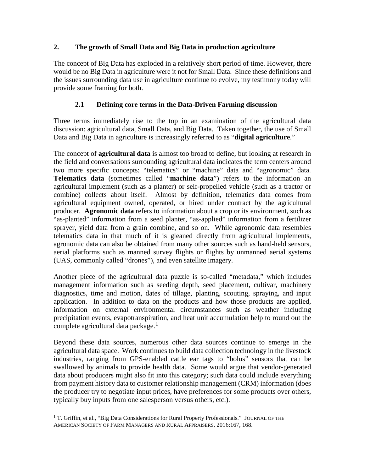## **2. The growth of Small Data and Big Data in production agriculture**

The concept of Big Data has exploded in a relatively short period of time. However, there would be no Big Data in agriculture were it not for Small Data. Since these definitions and the issues surrounding data use in agriculture continue to evolve, my testimony today will provide some framing for both.

# **2.1 Defining core terms in the Data-Driven Farming discussion**

Three terms immediately rise to the top in an examination of the agricultural data discussion: agricultural data, Small Data, and Big Data. Taken together, the use of Small Data and Big Data in agriculture is increasingly referred to as "**digital agriculture**."

The concept of **agricultural data** is almost too broad to define, but looking at research in the field and conversations surrounding agricultural data indicates the term centers around two more specific concepts: "telematics" or "machine" data and "agronomic" data. **Telematics data** (sometimes called "**machine data**") refers to the information an agricultural implement (such as a planter) or self-propelled vehicle (such as a tractor or combine) collects about itself. Almost by definition, telematics data comes from agricultural equipment owned, operated, or hired under contract by the agricultural producer. **Agronomic data** refers to information about a crop or its environment, such as "as-planted" information from a seed planter, "as-applied" information from a fertilizer sprayer, yield data from a grain combine, and so on. While agronomic data resembles telematics data in that much of it is gleaned directly from agricultural implements, agronomic data can also be obtained from many other sources such as hand-held sensors, aerial platforms such as manned survey flights or flights by unmanned aerial systems (UAS, commonly called "drones"), and even satellite imagery.

Another piece of the agricultural data puzzle is so-called "metadata," which includes management information such as seeding depth, seed placement, cultivar, machinery diagnostics, time and motion, dates of tillage, planting, scouting, spraying, and input application. In addition to data on the products and how those products are applied, information on external environmental circumstances such as weather including precipitation events, evapotranspiration, and heat unit accumulation help to round out the complete agricultural data package. $<sup>1</sup>$  $<sup>1</sup>$  $<sup>1</sup>$ </sup>

<span id="page-2-1"></span>Beyond these data sources, numerous other data sources continue to emerge in the agricultural data space. Work continues to build data collection technology in the livestock industries, ranging from GPS-enabled cattle ear tags to "bolus" sensors that can be swallowed by animals to provide health data. Some would argue that vendor-generated data about producers might also fit into this category; such data could include everything from payment history data to customer relationship management (CRM) information (does the producer try to negotiate input prices, have preferences for some products over others, typically buy inputs from one salesperson versus others, etc.).

<span id="page-2-0"></span><sup>&</sup>lt;sup>1</sup> T. Griffin, et al., "Big Data Considerations for Rural Property Professionals." JOURNAL OF THE AMERICAN SOCIETY OF FARM MANAGERS AND RURAL APPRAISERS, 2016:167, 168.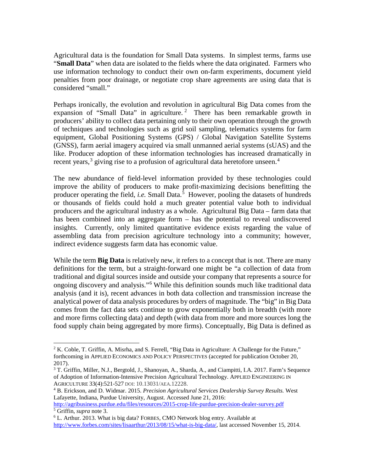Agricultural data is the foundation for Small Data systems. In simplest terms, farms use "**Small Data**" when data are isolated to the fields where the data originated. Farmers who use information technology to conduct their own on-farm experiments, document yield penalties from poor drainage, or negotiate crop share agreements are using data that is considered "small."

Perhaps ironically, the evolution and revolution in agricultural Big Data comes from the expansion of "Small Data" in agriculture.<sup>[2](#page-3-1)</sup> There has been remarkable growth in producers' ability to collect data pertaining only to their own operation through the growth of techniques and technologies such as grid soil sampling, telematics systems for farm equipment, Global Positioning Systems (GPS) / Global Navigation Satellite Systems (GNSS), farm aerial imagery acquired via small unmanned aerial systems (sUAS) and the like. Producer adoption of these information technologies has increased dramatically in recent years,<sup>[3](#page-3-2)</sup> giving rise to a profusion of agricultural data heretofore unseen.<sup>[4](#page-3-3)</sup>

<span id="page-3-0"></span>The new abundance of field-level information provided by these technologies could improve the ability of producers to make profit-maximizing decisions benefitting the producer operating the field, *i.e.* Small Data.<sup>[5](#page-3-4)</sup> However, pooling the datasets of hundreds or thousands of fields could hold a much greater potential value both to individual producers and the agricultural industry as a whole. Agricultural Big Data – farm data that has been combined into an aggregate form – has the potential to reveal undiscovered insights. Currently, only limited quantitative evidence exists regarding the value of assembling data from precision agriculture technology into a community; however, indirect evidence suggests farm data has economic value.

While the term **Big Data** is relatively new, it refers to a concept that is not. There are many definitions for the term, but a straight-forward one might be "a collection of data from traditional and digital sources inside and outside your company that represents a source for ongoing discovery and analysis."[6](#page-3-5) While this definition sounds much like traditional data analysis (and it is), recent advances in both data collection and transmission increase the analytical power of data analysis procedures by orders of magnitude. The "big" in Big Data comes from the fact data sets continue to grow exponentially both in breadth (with more and more firms collecting data) and depth (with data from more and more sources long the food supply chain being aggregated by more firms). Conceptually, Big Data is defined as

<span id="page-3-1"></span> $2 K$ . Coble, T. Griffin, A. Misrha, and S. Ferrell, "Big Data in Agriculture: A Challenge for the Future," forthcoming in APPLIED ECONOMICS AND POLICY PERSPECTIVES (accepted for publication October 20, 2017).

<span id="page-3-2"></span><sup>&</sup>lt;sup>3</sup> T. Griffin, Miller, N.J., Bergtold, J., Shanoyan, A., Sharda, A., and Ciampitti, I.A. 2017. Farm's Sequence of Adoption of Information-Intensive Precision Agricultural Technology. APPLIED ENGINEERING IN AGRICULTURE 33(4):521-527 DOI: 10.13031/AEA.12228.

<span id="page-3-3"></span><sup>4</sup> B. Erickson, and D. Widmar. 2015. *Precision Agricultural Services Dealership Survey Results.* West Lafayette, Indiana, Purdue University, August. Accessed June 21, 2016:

<span id="page-3-4"></span><http://agribusiness.purdue.edu/files/resources/2015-crop-life-purdue-precision-dealer-survey.pdf> <sup>5</sup> Griffin, *supra* note [3.](#page-3-0)

<span id="page-3-5"></span><sup>6</sup> L. Arthur. 2013. What is big data? FORBES, CMO Network blog entry. Available at [http://www.forbes.com/sites/lisaarthur/2013/08/15/what-is-big-data/,](http://www.forbes.com/sites/lisaarthur/2013/08/15/what-is-big-data/) last accessed November 15, 2014.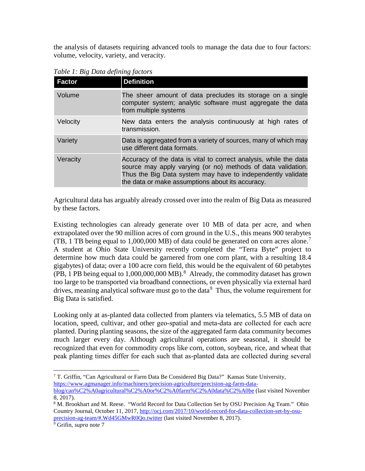the analysis of datasets requiring advanced tools to manage the data due to four factors: volume, velocity, variety, and veracity.

| <b>Factor</b> | <b>Definition</b>                                                                                                                                                                                                                                    |
|---------------|------------------------------------------------------------------------------------------------------------------------------------------------------------------------------------------------------------------------------------------------------|
| Volume        | The sheer amount of data precludes its storage on a single<br>computer system; analytic software must aggregate the data<br>from multiple systems                                                                                                    |
| Velocity      | New data enters the analysis continuously at high rates of<br>transmission.                                                                                                                                                                          |
| Variety       | Data is aggregated from a variety of sources, many of which may<br>use different data formats.                                                                                                                                                       |
| Veracity      | Accuracy of the data is vital to correct analysis, while the data<br>source may apply varying (or no) methods of data validation.<br>Thus the Big Data system may have to independently validate<br>the data or make assumptions about its accuracy. |

*Table 1: Big Data defining factors*

Agricultural data has arguably already crossed over into the realm of Big Data as measured by these factors.

<span id="page-4-0"></span>Existing technologies can already generate over 10 MB of data per acre, and when extrapolated over the 90 million acres of corn ground in the U.S., this means 900 terabytes (TB, 1 TB being equal to 1,000,000 MB) of data could be generated on corn acres alone.<sup>[7](#page-4-1)</sup> A student at Ohio State University recently completed the "Terra Byte" project to determine how much data could be garnered from one corn plant, with a resulting 18.4 gigabytes) of data; over a 100 acre corn field, this would be the equivalent of 60 petabytes (PB, 1 PB being equal to  $1,000,000,000$  MB).<sup>[8](#page-4-2)</sup> Already, the commodity dataset has grown too large to be transported via broadband connections, or even physically via external hard drives, meaning analytical software must go to the data $9$  Thus, the volume requirement for Big Data is satisfied.

Looking only at as-planted data collected from planters via telematics, 5.5 MB of data on location, speed, cultivar, and other geo‐spatial and meta‐data are collected for each acre planted. During planting seasons, the size of the aggregated farm data community becomes much larger every day. Although agricultural operations are seasonal, it should be recognized that even for commodity crops like corn, cotton, soybean, rice, and wheat that peak planting times differ for each such that as‐planted data are collected during several

<span id="page-4-1"></span><sup>7</sup> T. Griffin, "Can Agricultural or Farm Data Be Considered Big Data?" Kansas State University, [https://www.agmanager.info/machinery/precision-agriculture/precision-ag-farm-data-](https://www.agmanager.info/machinery/precision-agriculture/precision-ag-farm-data-blog/can%C2%A0agricultural%C2%A0or%C2%A0farm%C2%A0data%C2%A0be)

[blog/can%C2%A0agricultural%C2%A0or%C2%A0farm%C2%A0data%C2%A0be](https://www.agmanager.info/machinery/precision-agriculture/precision-ag-farm-data-blog/can%C2%A0agricultural%C2%A0or%C2%A0farm%C2%A0data%C2%A0be) (last visited November 8, 2017).

<span id="page-4-2"></span><sup>&</sup>lt;sup>8</sup> M. Brookhart and M. Reese. "World Record for Data Collection Set by OSU Precision Ag Team." Ohio Country Journal, October 11, 2017[, http://ocj.com/2017/10/world-record-for-data-collection-set-by-osu](http://ocj.com/2017/10/world-record-for-data-collection-set-by-osu-precision-ag-team/#.Wd45GMwR0Qo.twitter)precision-ag-team/#.Wd45GMwR0Qo.twitter (last visited November 8, 2017). 9 Grifin, *supra* note [7](#page-4-0)

<span id="page-4-3"></span>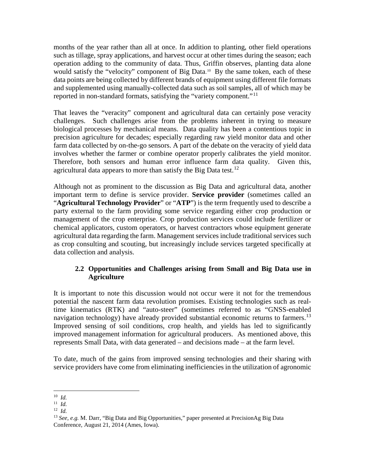months of the year rather than all at once. In addition to planting, other field operations such as tillage, spray applications, and harvest occur at other times during the season; each operation adding to the community of data. Thus, Griffin observes, planting data alone would satisfy the "velocity" component of Big Data. [10](#page-5-0) By the same token, each of these data points are being collected by different brands of equipment using different file formats and supplemented using manually-collected data such as soil samples, all of which may be reported in non-standard formats, satisfying the "variety component."<sup>[11](#page-5-1)</sup>

That leaves the "veracity" component and agricultural data can certainly pose veracity challenges. Such challenges arise from the problems inherent in trying to measure biological processes by mechanical means. Data quality has been a contentious topic in precision agriculture for decades; especially regarding raw yield monitor data and other farm data collected by on-the-go sensors. A part of the debate on the veracity of yield data involves whether the farmer or combine operator properly calibrates the yield monitor. Therefore, both sensors and human error influence farm data quality. Given this, agricultural data appears to more than satisfy the Big Data test.<sup>[12](#page-5-2)</sup>

Although not as prominent to the discussion as Big Data and agricultural data, another important term to define is service provider. **Service provider** (sometimes called an "**Agricultural Technology Provider**" or "**ATP**") is the term frequently used to describe a party external to the farm providing some service regarding either crop production or management of the crop enterprise. Crop production services could include fertilizer or chemical applicators, custom operators, or harvest contractors whose equipment generate agricultural data regarding the farm. Management services include traditional services such as crop consulting and scouting, but increasingly include services targeted specifically at data collection and analysis.

## **2.2 Opportunities and Challenges arising from Small and Big Data use in Agriculture**

It is important to note this discussion would not occur were it not for the tremendous potential the nascent farm data revolution promises. Existing technologies such as realtime kinematics (RTK) and "auto-steer" (sometimes referred to as "GNSS-enabled navigation technology) have already provided substantial economic returns to farmers.<sup>[13](#page-5-3)</sup> Improved sensing of soil conditions, crop health, and yields has led to significantly improved management information for agricultural producers. As mentioned above, this represents Small Data, with data generated – and decisions made – at the farm level.

To date, much of the gains from improved sensing technologies and their sharing with service providers have come from eliminating inefficiencies in the utilization of agronomic

<span id="page-5-0"></span><sup>10</sup> *Id.*

<span id="page-5-1"></span><sup>11</sup> *Id.*

<span id="page-5-2"></span> $12$  *Id.* 

<span id="page-5-3"></span><sup>13</sup> *See, e.g.* M. Darr, "Big Data and Big Opportunities," paper presented at PrecisionAg Big Data Conference, August 21, 2014 (Ames, Iowa).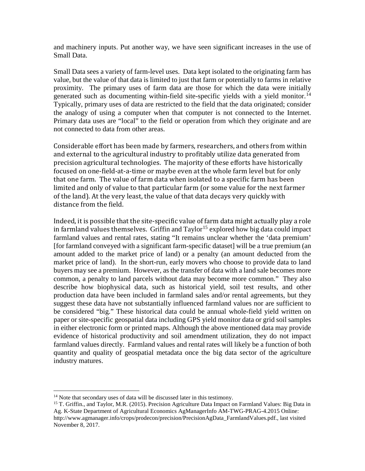and machinery inputs. Put another way, we have seen significant increases in the use of Small Data.

Small Data sees a variety of farm-level uses. Data kept isolated to the originating farm has value, but the value of that data is limited to just that farm or potentially to farms in relative proximity. The primary uses of farm data are those for which the data were initially generated such as documenting within-field site-specific yields with a yield monitor.<sup>[14](#page-6-0)</sup> Typically, primary uses of data are restricted to the field that the data originated; consider the analogy of using a computer when that computer is not connected to the Internet. Primary data uses are "local" to the field or operation from which they originate and are not connected to data from other areas.

Considerable effort has been made by farmers, researchers, and others from within and external to the agricultural industry to profitably utilize data generated from precision agricultural technologies. The majority of these efforts have historically focused on one-field-at-a-time or maybe even at the whole farm level but for only that one farm. The value of farm data when isolated to a specific farm has been limited and only of value to that particular farm (or some value for the next farmer of the land). At the very least, the value of that data decays very quickly with distance from the field.

Indeed, it is possible that the site-specific value of farm data might actually play a role in farmland values themselves. Griffin and  $Taylor^{15}$  $Taylor^{15}$  $Taylor^{15}$  explored how big data could impact farmland values and rental rates, stating "It remains unclear whether the 'data premium' [for farmland conveyed with a significant farm-specific dataset] will be a true premium (an amount added to the market price of land) or a penalty (an amount deducted from the market price of land). In the short-run, early movers who choose to provide data to land buyers may see a premium. However, as the transfer of data with a land sale becomes more common, a penalty to land parcels without data may become more common." They also describe how biophysical data, such as historical yield, soil test results, and other production data have been included in farmland sales and/or rental agreements, but they suggest these data have not substantially influenced farmland values nor are sufficient to be considered "big." These historical data could be annual whole-field yield written on paper or site-specific geospatial data including GPS yield monitor data or grid soil samples in either electronic form or printed maps. Although the above mentioned data may provide evidence of historical productivity and soil amendment utilization, they do not impact farmland values directly. Farmland values and rental rates will likely be a function of both quantity and quality of geospatial metadata once the big data sector of the agriculture industry matures.

<sup>&</sup>lt;sup>14</sup> Note that secondary uses of data will be discussed later in this testimony.

<span id="page-6-1"></span><span id="page-6-0"></span><sup>&</sup>lt;sup>15</sup> T. Griffin., and Taylor, M.R. (2015). Precision Agriculture Data Impact on Farmland Values: Big Data in Ag. K-State Department of Agricultural Economics AgManagerInfo AM-TWG-PRAG-4.2015 Online: http://www.agmanager.info/crops/prodecon/precision/PrecisionAgData\_FarmlandValues.pdf., last visited November 8, 2017.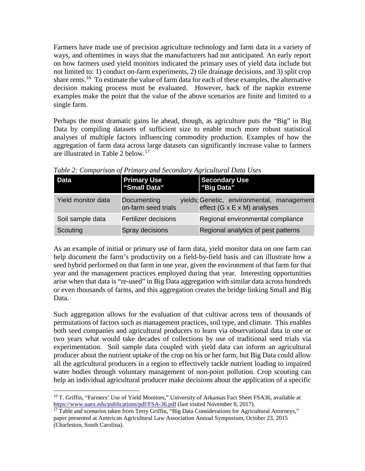Farmers have made use of precision agriculture technology and farm data in a variety of ways, and oftentimes in ways that the manufacturers had not anticipated. An early report on how farmers used yield monitors indicated the primary uses of yield data include but not limited to: 1) conduct on-farm experiments, 2) tile drainage decisions, and 3) split crop share rents.<sup>16</sup> To estimate the value of farm data for each of these examples, the alternative decision making process must be evaluated. However, back of the napkin extreme examples make the point that the value of the above scenarios are finite and limited to a single farm.

Perhaps the most dramatic gains lie ahead, though, as agriculture puts the "Big" in Big Data by compiling datasets of sufficient size to enable much more robust statistical analyses of multiple factors influencing commodity production. Examples of how the aggregation of farm data across large datasets can significantly increase value to farmers are illustrated in Table 2 below.<sup>[17](#page-7-1)</sup>

| Data               | <b>Primary Use</b><br>"Small Data" | <b>Secondary Use</b><br>"Big Data"                                                    |
|--------------------|------------------------------------|---------------------------------------------------------------------------------------|
| Yield monitor data | Documenting<br>on-farm seed trials | yields; Genetic, environmental, management<br>effect $(G \times E \times M)$ analyses |
| Soil sample data   | <b>Fertilizer decisions</b>        | Regional environmental compliance                                                     |
| Scouting           | Spray decisions                    | Regional analytics of pest patterns                                                   |

*Table 2: Comparison of Primary and Secondary Agricultural Data Uses*

As an example of initial or primary use of farm data, yield monitor data on one farm can help document the farm's productivity on a field-by-field basis and can illustrate how a seed hybrid performed on that farm in one year, given the environment of that farm for that year and the management practices employed during that year. Interesting opportunities arise when that data is "re-used" in Big Data aggregation with similar data across hundreds or even thousands of farms, and this aggregation creates the bridge linking Small and Big Data.

Such aggregation allows for the evaluation of that cultivar across tens of thousands of permutations of factors such as management practices, soil type, and climate. This enables both seed companies and agricultural producers to learn via observational data in one or two years what would take decades of collections by use of traditional seed trials via experimentation. Soil sample data coupled with yield data can inform an agricultural producer about the nutrient uptake of the crop on his or her farm, but Big Data could allow all the agricultural producers in a region to effectively tackle nutrient loading to impaired water bodies through voluntary management of non-point pollution. Crop scouting can help an individual agricultural producer make decisions about the application of a specific

<span id="page-7-0"></span><sup>&</sup>lt;sup>16</sup> T. Griffin, "Farmers' Use of Yield Monitors," University of Arkansas Fact Sheet FSA36, available at https://www.uaex.edu/publications/pdf/FSA-36.pdf (last visited November 8, 2017).

<span id="page-7-1"></span> $17$  Table and scenarios taken from Terry Griffin, "Big Data Considerations for Agricultural Attorneys," paper presented at American Agricultural Law Association Annual Symposium, October 23, 2015 (Charleston, South Carolina).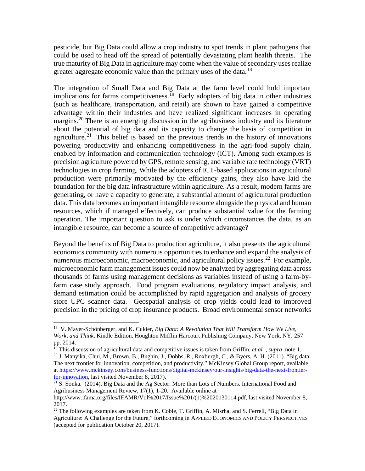pesticide, but Big Data could allow a crop industry to spot trends in plant pathogens that could be used to head off the spread of potentially devastating plant health threats. The true maturity of Big Data in agriculture may come when the value of secondary uses realize greater aggregate economic value than the primary uses of the data.<sup>[18](#page-8-0)</sup>

The integration of Small Data and Big Data at the farm level could hold important implications for farms competitiveness.<sup>[19](#page-8-1)</sup> Early adopters of big data in other industries (such as healthcare, transportation, and retail) are shown to have gained a competitive advantage within their industries and have realized significant increases in operating margins.<sup>[20](#page-8-2)</sup> There is an emerging discussion in the agribusiness industry and its literature about the potential of big data and its capacity to change the basis of competition in agriculture.<sup>[21](#page-8-3)</sup> This belief is based on the previous trends in the history of innovations powering productivity and enhancing competitiveness in the agri-food supply chain, enabled by information and communication technology (ICT). Among such examples is precision agriculture powered by GPS, remote sensing, and variable rate technology (VRT) technologies in crop farming. While the adopters of ICT-based applications in agricultural production were primarily motivated by the efficiency gains, they also have laid the foundation for the big data infrastructure within agriculture. As a result, modern farms are generating, or have a capacity to generate, a substantial amount of agricultural production data. This data becomes an important intangible resource alongside the physical and human resources, which if managed effectively, can produce substantial value for the farming operation. The important question to ask is under which circumstances the data, as an intangible resource, can become a source of competitive advantage?

<span id="page-8-5"></span>Beyond the benefits of Big Data to production agriculture, it also presents the agricultural economics community with numerous opportunities to enhance and expand the analysis of numerous microeconomic, macroeconomic, and agricultural policy issues.<sup>[22](#page-8-4)</sup> For example, microeconomic farm management issues could now be analyzed by aggregating data across thousands of farms using management decisions as variables instead of using a farm-byfarm case study approach. Food program evaluations, regulatory impact analysis, and demand estimation could be accomplished by rapid aggregation and analysis of grocery store UPC scanner data. Geospatial analysis of crop yields could lead to improved precision in the pricing of crop insurance products. Broad environmental sensor networks

<span id="page-8-0"></span>18 V. Mayer-Schönberger, and K. Cukier, *Big Data: A Revolution That Will Transform How We Live, Work, and Think*, Kindle Edition. Houghton Mifflin Harcourt Publishing Company, New York, NY. 257 pp. 2014.

<span id="page-8-1"></span><sup>&</sup>lt;sup>19</sup> This discussion of agricultural data and competitive issues is taken from Griffin, *et al.*, *supra* note [1.](#page-2-1)<br><sup>20</sup> J. Manyika, Chui, M., Brown, B., Bughin, J., Dobbs, R., Roxburgh, C., & Byers, A. H. (2011). "Big data

<span id="page-8-2"></span>The next frontier for innovation, competition, and productivity." McKinsey Global Group report, available at https://www.mckinsey.com/business-functions/digital-mckinsey/our-insights/big-data-the-next-frontier-<br>for-innovation, last visited November 8, 2017).

<span id="page-8-3"></span> $\frac{1}{21}$  S. Sonka. (2014). Big Data and the Ag Sector: More than Lots of Numbers. International Food and Agribusiness Management Review, 17(1), 1-20. Available online at http://www.ifama.org/files/IFAMR/Vol%2017/Issue%201/(1)%2020130114.pdf, last visited November 8,

<span id="page-8-4"></span><sup>2017.</sup> <sup>22</sup> The following examples are taken from K. Coble, T. Griffin, A. Misrha, and S. Ferrell, "Big Data in

Agriculture: A Challenge for the Future," forthcoming in APPLIED ECONOMICS AND POLICY PERSPECTIVES (accepted for publication October 20, 2017).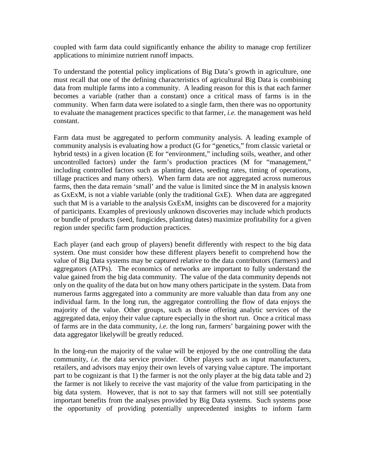coupled with farm data could significantly enhance the ability to manage crop fertilizer applications to minimize nutrient runoff impacts.

To understand the potential policy implications of Big Data's growth in agriculture, one must recall that one of the defining characteristics of agricultural Big Data is combining data from multiple farms into a community. A leading reason for this is that each farmer becomes a variable (rather than a constant) once a critical mass of farms is in the community. When farm data were isolated to a single farm, then there was no opportunity to evaluate the management practices specific to that farmer, *i.e.* the management was held constant.

Farm data must be aggregated to perform community analysis. A leading example of community analysis is evaluating how a product (G for "genetics," from classic varietal or hybrid tests) in a given location (E for "environment," including soils, weather, and other uncontrolled factors) under the farm's production practices (M for "management," including controlled factors such as planting dates, seeding rates, timing of operations, tillage practices and many others). When farm data are not aggregated across numerous farms, then the data remain 'small' and the value is limited since the M in analysis known as GxExM, is not a viable variable (only the traditional GxE). When data are aggregated such that M is a variable to the analysis GxExM, insights can be discovered for a majority of participants. Examples of previously unknown discoveries may include which products or bundle of products (seed, fungicides, planting dates) maximize profitability for a given region under specific farm production practices.

Each player (and each group of players) benefit differently with respect to the big data system. One must consider how these different players benefit to comprehend how the value of Big Data systems may be captured relative to the data contributors (farmers) and aggregators (ATPs). The economics of networks are important to fully understand the value gained from the big data community. The value of the data community depends not only on the quality of the data but on how many others participate in the system. Data from numerous farms aggregated into a community are more valuable than data from any one individual farm. In the long run, the aggregator controlling the flow of data enjoys the majority of the value. Other groups, such as those offering analytic services of the aggregated data, enjoy their value capture especially in the short run. Once a critical mass of farms are in the data community, *i.e.* the long run, farmers' bargaining power with the data aggregator likelywill be greatly reduced.

In the long-run the majority of the value will be enjoyed by the one controlling the data community, *i.e.* the data service provider. Other players such as input manufacturers, retailers, and advisors may enjoy their own levels of varying value capture. The important part to be cognizant is that 1) the farmer is not the only player at the big data table and 2) the farmer is not likely to receive the vast majority of the value from participating in the big data system. However, that is not to say that farmers will not still see potentially important benefits from the analyses provided by Big Data systems. Such systems pose the opportunity of providing potentially unprecedented insights to inform farm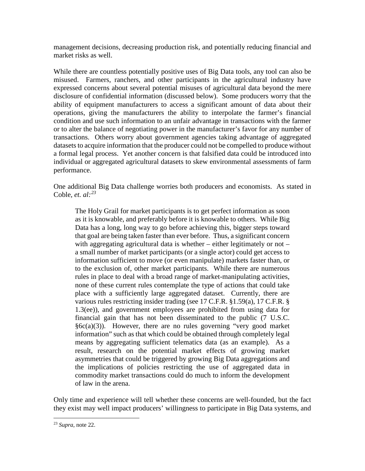management decisions, decreasing production risk, and potentially reducing financial and market risks as well.

While there are countless potentially positive uses of Big Data tools, any tool can also be misused. Farmers, ranchers, and other participants in the agricultural industry have expressed concerns about several potential misuses of agricultural data beyond the mere disclosure of confidential information (discussed below). Some producers worry that the ability of equipment manufacturers to access a significant amount of data about their operations, giving the manufacturers the ability to interpolate the farmer's financial condition and use such information to an unfair advantage in transactions with the farmer or to alter the balance of negotiating power in the manufacturer's favor for any number of transactions. Others worry about government agencies taking advantage of aggregated datasets to acquire information that the producer could not be compelled to produce without a formal legal process. Yet another concern is that falsified data could be introduced into individual or aggregated agricultural datasets to skew environmental assessments of farm performance.

One additional Big Data challenge worries both producers and economists. As stated in Coble, *et. al:[23](#page-10-0)*

The Holy Grail for market participants is to get perfect information as soon as it is knowable, and preferably before it is knowable to others. While Big Data has a long, long way to go before achieving this, bigger steps toward that goal are being taken faster than ever before. Thus, a significant concern with aggregating agricultural data is whether  $-$  either legitimately or not  $$ a small number of market participants (or a single actor) could get access to information sufficient to move (or even manipulate) markets faster than, or to the exclusion of, other market participants. While there are numerous rules in place to deal with a broad range of market-manipulating activities, none of these current rules contemplate the type of actions that could take place with a sufficiently large aggregated dataset. Currently, there are various rules restricting insider trading (see 17 C.F.R. §1.59(a), 17 C.F.R. § 1.3(ee)), and government employees are prohibited from using data for financial gain that has not been disseminated to the public (7 U.S.C.  $§6c(a)(3)$ ). However, there are no rules governing "very good market information" such as that which could be obtained through completely legal means by aggregating sufficient telematics data (as an example). As a result, research on the potential market effects of growing market asymmetries that could be triggered by growing Big Data aggregations and the implications of policies restricting the use of aggregated data in commodity market transactions could do much to inform the development of law in the arena.

Only time and experience will tell whether these concerns are well-founded, but the fact they exist may well impact producers' willingness to participate in Big Data systems, and

<span id="page-10-0"></span><sup>23</sup> *Supra*, not[e 22.](#page-8-5)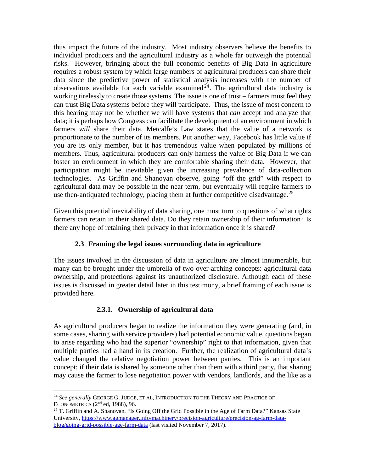thus impact the future of the industry. Most industry observers believe the benefits to individual producers and the agricultural industry as a whole far outweigh the potential risks. However, bringing about the full economic benefits of Big Data in agriculture requires a robust system by which large numbers of agricultural producers can share their data since the predictive power of statistical analysis increases with the number of observations available for each variable examined<sup>[24](#page-11-0)</sup>. The agricultural data industry is working tirelessly to create those systems. The issue is one of trust – farmers must feel they can trust Big Data systems before they will participate. Thus, the issue of most concern to this hearing may not be whether we will have systems that *can* accept and analyze that data; it is perhaps how Congress can facilitate the development of an environment in which farmers *will* share their data. Metcalfe's Law states that the value of a network is proportionate to the number of its members. Put another way, Facebook has little value if you are its only member, but it has tremendous value when populated by millions of members. Thus, agricultural producers can only harness the value of Big Data if we can foster an environment in which they are comfortable sharing their data. However, that participation might be inevitable given the increasing prevalence of data-collection technologies. As Griffin and Shanoyan observe, going "off the grid" with respect to agricultural data may be possible in the near term, but eventually will require farmers to use then-antiquated technology, placing them at further competitive disadvantage.<sup>[25](#page-11-1)</sup>

Given this potential inevitability of data sharing, one must turn to questions of what rights farmers can retain in their shared data. Do they retain ownership of their information? Is there any hope of retaining their privacy in that information once it is shared?

## <span id="page-11-2"></span>**2.3 Framing the legal issues surrounding data in agriculture**

The issues involved in the discussion of data in agriculture are almost innumerable, but many can be brought under the umbrella of two over-arching concepts: agricultural data ownership, and protections against its unauthorized disclosure. Although each of these issues is discussed in greater detail later in this testimony, a brief framing of each issue is provided here.

# **2.3.1. Ownership of agricultural data**

As agricultural producers began to realize the information they were generating (and, in some cases, sharing with service providers) had potential economic value, questions began to arise regarding who had the superior "ownership" right to that information, given that multiple parties had a hand in its creation. Further, the realization of agricultural data's value changed the relative negotiation power between parties. This is an important concept; if their data is shared by someone other than them with a third party, that sharing may cause the farmer to lose negotiation power with vendors, landlords, and the like as a

<span id="page-11-0"></span><sup>24</sup> *See generally* GEORGE G. JUDGE, ET AL, INTRODUCTION TO THE THEORY AND PRACTICE OF ECONOMETRICS  $(2<sup>nd</sup>$  ed, 1988), 96.

<span id="page-11-1"></span><sup>&</sup>lt;sup>25</sup> T. Griffin and A. Shanoyan, "Is Going Off the Grid Possible in the Age of Farm Data?" Kansas State University, [https://www.agmanager.info/machinery/precision-agriculture/precision-ag-farm-data](https://www.agmanager.info/machinery/precision-agriculture/precision-ag-farm-data-blog/going-grid-possible-age-farm-data)[blog/going-grid-possible-age-farm-data](https://www.agmanager.info/machinery/precision-agriculture/precision-ag-farm-data-blog/going-grid-possible-age-farm-data) (last visited November 7, 2017).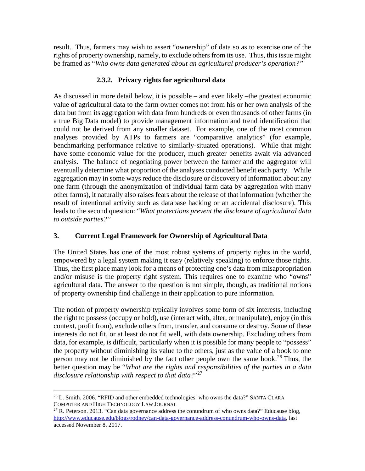result. Thus, farmers may wish to assert "ownership" of data so as to exercise one of the rights of property ownership, namely, to exclude others from its use. Thus, this issue might be framed as "*Who owns data generated about an agricultural producer's operation?"*

## **2.3.2. Privacy rights for agricultural data**

As discussed in more detail below, it is possible – and even likely –the greatest economic value of agricultural data to the farm owner comes not from his or her own analysis of the data but from its aggregation with data from hundreds or even thousands of other farms (in a true Big Data model) to provide management information and trend identification that could not be derived from any smaller dataset. For example, one of the most common analyses provided by ATPs to farmers are "comparative analytics" (for example, benchmarking performance relative to similarly-situated operations). While that might have some economic value for the producer, much greater benefits await via advanced analysis. The balance of negotiating power between the farmer and the aggregator will eventually determine what proportion of the analyses conducted benefit each party. While aggregation may in some ways reduce the disclosure or discovery of information about any one farm (through the anonymization of individual farm data by aggregation with many other farms), it naturally also raises fears about the release of that information (whether the result of intentional activity such as database hacking or an accidental disclosure). This leads to the second question: "*What protections prevent the disclosure of agricultural data to outside parties?"*

# **3. Current Legal Framework for Ownership of Agricultural Data**

The United States has one of the most robust systems of property rights in the world, empowered by a legal system making it easy (relatively speaking) to enforce those rights. Thus, the first place many look for a means of protecting one's data from misappropriation and/or misuse is the property right system. This requires one to examine who "owns" agricultural data. The answer to the question is not simple, though, as traditional notions of property ownership find challenge in their application to pure information.

The notion of property ownership typically involves some form of six interests, including the right to possess (occupy or hold), use (interact with, alter, or manipulate), enjoy (in this context, profit from), exclude others from, transfer, and consume or destroy. Some of these interests do not fit, or at least do not fit well, with data ownership. Excluding others from data, for example, is difficult, particularly when it is possible for many people to "possess" the property without diminishing its value to the others, just as the value of a book to one person may not be diminished by the fact other people own the same book.<sup>[26](#page-12-0)</sup> Thus, the better question may be "*What are the rights and responsibilities of the parties in a data disclosure relationship with respect to that data*?"[27](#page-12-1)

<span id="page-12-2"></span><span id="page-12-0"></span><sup>26</sup> L. Smith. 2006. "RFID and other embedded technologies: who owns the data?" SANTA CLARA COMPUTER AND HIGH TECHNOLOGY LAW JOURNAL

<span id="page-12-1"></span><sup>&</sup>lt;sup>27</sup> R. Peterson. 2013. "Can data governance address the conundrum of who owns data?" Educause blog, [http://www.educause.edu/blogs/rodney/can-data-governance-address-conundrum-who-owns-data,](http://www.educause.edu/blogs/rodney/can-data-governance-address-conundrum-who-owns-data) last accessed November 8, 2017.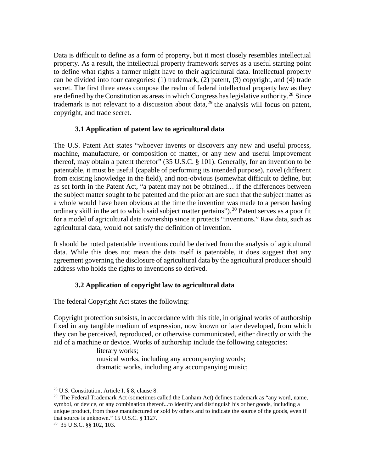Data is difficult to define as a form of property, but it most closely resembles intellectual property. As a result, the intellectual property framework serves as a useful starting point to define what rights a farmer might have to their agricultural data. Intellectual property can be divided into four categories: (1) trademark, (2) patent, (3) copyright, and (4) trade secret. The first three areas compose the realm of federal intellectual property law as they are defined by the Constitution as areas in which Congress has legislative authority.<sup>[28](#page-13-0)</sup> Since trademark is not relevant to a discussion about data,  $2<sup>9</sup>$  the analysis will focus on patent, copyright, and trade secret.

## **3.1 Application of patent law to agricultural data**

The U.S. Patent Act states "whoever invents or discovers any new and useful process, machine, manufacture, or composition of matter, or any new and useful improvement thereof, may obtain a patent therefor" (35 U.S.C. § 101). Generally, for an invention to be patentable, it must be useful (capable of performing its intended purpose), novel (different from existing knowledge in the field), and non-obvious (somewhat difficult to define, but as set forth in the Patent Act, "a patent may not be obtained… if the differences between the subject matter sought to be patented and the prior art are such that the subject matter as a whole would have been obvious at the time the invention was made to a person having ordinary skill in the art to which said subject matter pertains").<sup>[30](#page-13-2)</sup> Patent serves as a poor fit for a model of agricultural data ownership since it protects "inventions." Raw data, such as agricultural data, would not satisfy the definition of invention.

It should be noted patentable inventions could be derived from the analysis of agricultural data. While this does not mean the data itself is patentable, it does suggest that any agreement governing the disclosure of agricultural data by the agricultural producer should address who holds the rights to inventions so derived.

# **3.2 Application of copyright law to agricultural data**

The federal Copyright Act states the following:

Copyright protection subsists, in accordance with this title, in original works of authorship fixed in any tangible medium of expression, now known or later developed, from which they can be perceived, reproduced, or otherwise communicated, either directly or with the aid of a machine or device. Works of authorship include the following categories:

literary works;

musical works, including any accompanying words; dramatic works, including any accompanying music;

<span id="page-13-2"></span>30 35 U.S.C. §§ 102, 103.

<span id="page-13-0"></span><sup>28</sup> U.S. Constitution, Article I, § 8, clause 8.

<span id="page-13-1"></span><sup>&</sup>lt;sup>29</sup> The Federal Trademark Act (sometimes called the Lanham Act) defines trademark as "any word, name, symbol, or device, or any combination thereof...to identify and distinguish his or her goods, including a unique product, from those manufactured or sold by others and to indicate the source of the goods, even if that source is unknown." 15 U.S.C. § 1127.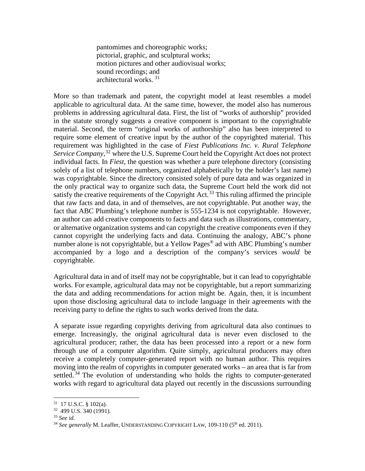pantomimes and choreographic works; pictorial, graphic, and sculptural works; motion pictures and other audiovisual works; sound recordings; and architectural works. [31](#page-14-0)

More so than trademark and patent, the copyright model at least resembles a model applicable to agricultural data. At the same time, however, the model also has numerous problems in addressing agricultural data. First, the list of "works of authorship" provided in the statute strongly suggests a creative component is important to the copyrightable material. Second, the term "original works of authorship" also has been interpreted to require some element of creative input by the author of the copyrighted material. This requirement was highlighted in the case of *Fiest Publications Inc. v. Rural Telephone*  Service Company,<sup>[32](#page-14-1)</sup> where the U.S. Supreme Court held the Copyright Act does not protect individual facts. In *Fiest*, the question was whether a pure telephone directory (consisting solely of a list of telephone numbers, organized alphabetically by the holder's last name) was copyrightable. Since the directory consisted solely of pure data and was organized in the only practical way to organize such data, the Supreme Court held the work did not satisfy the creative requirements of the Copyright Act.<sup>[33](#page-14-2)</sup> This ruling affirmed the principle that raw facts and data, in and of themselves, are not copyrightable. Put another way, the fact that ABC Plumbing's telephone number is 555-1234 is not copyrightable. However, an author can add creative components to facts and data such as illustrations, commentary, or alternative organization systems and can copyright the creative components even if they cannot copyright the underlying facts and data. Continuing the analogy, ABC's phone number alone is not copyrightable, but a Yellow Pages<sup>®</sup> ad with ABC Plumbing's number accompanied by a logo and a description of the company's services *would* be copyrightable.

Agricultural data in and of itself may not be copyrightable, but it can lead to copyrightable works. For example, agricultural data may not be copyrightable, but a report summarizing the data and adding recommendations for action might be. Again, then, it is incumbent upon those disclosing agricultural data to include language in their agreements with the receiving party to define the rights to such works derived from the data.

A separate issue regarding copyrights deriving from agricultural data also continues to emerge. Increasingly, the original agricultural data is never even disclosed to the agricultural producer; rather, the data has been processed into a report or a new form through use of a computer algorithm. Quite simply, agricultural producers may often receive a completely computer-generated report with no human author. This requires moving into the realm of copyrights in computer generated works – an area that is far from settled.<sup>[34](#page-14-3)</sup> The evolution of understanding who holds the rights to computer-generated works with regard to agricultural data played out recently in the discussions surrounding

<span id="page-14-1"></span><span id="page-14-0"></span> $31 \t17 \tU.S.C.$  § 102(a).<br> $32 \t499 \tU.S.$  340 (1991).

<span id="page-14-2"></span><sup>33</sup> *See id.*

<span id="page-14-3"></span><sup>&</sup>lt;sup>34</sup> See generally M. Leaffer, UNDERSTANDING COPYRIGHT LAW, 109-110 (5<sup>th</sup> ed. 2011).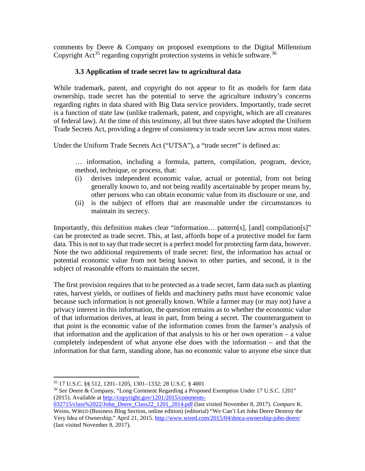comments by Deere & Company on proposed exemptions to the Digital Millennium Copyright Act<sup>[35](#page-15-0)</sup> regarding copyright protection systems in vehicle software.<sup>[36](#page-15-1)</sup>

## **3.3 Application of trade secret law to agricultural data**

While trademark, patent, and copyright do not appear to fit as models for farm data ownership, trade secret has the potential to serve the agriculture industry's concerns regarding rights in data shared with Big Data service providers. Importantly, trade secret is a function of state law (unlike trademark, patent, and copyright, which are all creatures of federal law). At the time of this testimony, all but three states have adopted the Uniform Trade Secrets Act, providing a degree of consistency in trade secret law across most states.

Under the Uniform Trade Secrets Act ("UTSA"), a "trade secret" is defined as:

… information, including a formula, pattern, compilation, program, device, method, technique, or process, that:

- (i) derives independent economic value, actual or potential, from not being generally known to, and not being readily ascertainable by proper means by, other persons who can obtain economic value from its disclosure or use, and
- (ii) is the subject of efforts that are reasonable under the circumstances to maintain its secrecy.

Importantly, this definition makes clear "information… pattern[s], [and] compilation[s]" can be protected as trade secret. This, at last, affords hope of a protective model for farm data. This is not to say that trade secret is a perfect model for protecting farm data, however. Note the two additional requirements of trade secret: first, the information has actual or potential economic value from not being known to other parties, and second, it is the subject of reasonable efforts to maintain the secret.

The first provision requires that to be protected as a trade secret, farm data such as planting rates, harvest yields, or outlines of fields and machinery paths must have economic value because such information is not generally known. While a farmer may (or may not) have a privacy interest in this information, the question remains as to whether the economic value of that information derives, at least in part, from being a secret. The counterargument to that point is the economic value of the information comes from the farmer's analysis of that information and the application of that analysis to his or her own operation – a value completely independent of what anyone else does with the information – and that the information for that farm, standing alone, has no economic value to anyone else since that

<span id="page-15-1"></span><span id="page-15-0"></span><sup>35</sup> 17 U.S.C. §§ 512, 1201–1205, 1301–1332; 28 U.S.C. § 4001

<sup>36</sup> *See* Deere & Company, "Long Comment Regarding a Proposed Exemption Under 17 U.S.C. 1201" (2015). Available a[t http://copyright.gov/1201/2015/comments-](http://copyright.gov/1201/2015/comments-032715/class%2022/John_Deere_Class22_1201_2014.pdf)

[<sup>032715/</sup>class%2022/John\\_Deere\\_Class22\\_1201\\_2014.pdf](http://copyright.gov/1201/2015/comments-032715/class%2022/John_Deere_Class22_1201_2014.pdf) (last visited November 8, 2017). *Compare* K. Weins, WIRED (Business Blog Section, online edition) (editorial) "We Can't Let John Deere Destroy the Very Idea of Ownership," April 21, 2015.<http://www.wired.com/2015/04/dmca-ownership-john-deere/> (last visited November 8, 2017).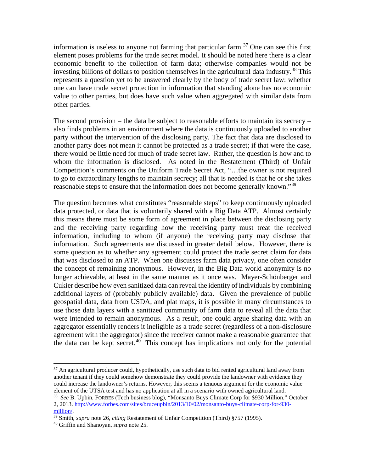information is useless to anyone not farming that particular farm.<sup>[37](#page-16-0)</sup> One can see this first element poses problems for the trade secret model. It should be noted here there is a clear economic benefit to the collection of farm data; otherwise companies would not be investing billions of dollars to position themselves in the agricultural data industry. [38](#page-16-1) This represents a question yet to be answered clearly by the body of trade secret law: whether one can have trade secret protection in information that standing alone has no economic value to other parties, but does have such value when aggregated with similar data from other parties.

The second provision – the data be subject to reasonable efforts to maintain its secrecy – also finds problems in an environment where the data is continuously uploaded to another party without the intervention of the disclosing party. The fact that data are disclosed to another party does not mean it cannot be protected as a trade secret; if that were the case, there would be little need for much of trade secret law. Rather, the question is how and to whom the information is disclosed. As noted in the Restatement (Third) of Unfair Competition's comments on the Uniform Trade Secret Act, "…the owner is not required to go to extraordinary lengths to maintain secrecy; all that is needed is that he or she takes reasonable steps to ensure that the information does not become generally known."<sup>[39](#page-16-2)</sup>

The question becomes what constitutes "reasonable steps" to keep continuously uploaded data protected, or data that is voluntarily shared with a Big Data ATP. Almost certainly this means there must be some form of agreement in place between the disclosing party and the receiving party regarding how the receiving party must treat the received information, including to whom (if anyone) the receiving party may disclose that information. Such agreements are discussed in greater detail below. However, there is some question as to whether any agreement could protect the trade secret claim for data that was disclosed to an ATP. When one discusses farm data privacy, one often consider the concept of remaining anonymous. However, in the Big Data world anonymity is no longer achievable, at least in the same manner as it once was. Mayer‐Schönberger and Cukier describe how even sanitized data can reveal the identity of individuals by combining additional layers of (probably publicly available) data. Given the prevalence of public geospatial data, data from USDA, and plat maps, it is possible in many circumstances to use those data layers with a sanitized community of farm data to reveal all the data that were intended to remain anonymous. As a result, one could argue sharing data with an aggregator essentially renders it ineligible as a trade secret (regardless of a non-disclosure agreement with the aggregator) since the receiver cannot make a reasonable guarantee that the data can be kept secret.<sup>[40](#page-16-3)</sup> This concept has implications not only for the potential

<span id="page-16-0"></span> $37$  An agricultural producer could, hypothetically, use such data to bid rented agricultural land away from another tenant if they could somehow demonstrate they could provide the landowner with evidence they could increase the landowner's returns. However, this seems a tenuous argument for the economic value element of the UTSA test and has no application at all in a scenario with owned agricultural land. 38 *See* B. Upbin, FORBES (Tech business blog), "Monsanto Buys Climate Corp for \$930 Million," October

<span id="page-16-1"></span><sup>2, 2013.</sup> [http://www.forbes.com/sites/bruceupbin/2013/10/02/monsanto-buys-climate-corp-for-930-](http://www.forbes.com/sites/bruceupbin/2013/10/02/monsanto-buys-climate-corp-for-930-million/)

<span id="page-16-2"></span>[million/.](http://www.forbes.com/sites/bruceupbin/2013/10/02/monsanto-buys-climate-corp-for-930-million/) 39 Smith, *supra* note 26, *citing* Restatement of Unfair Competition (Third) §757 (1995). 40 Griffin and Shanoyan, *supra* not[e 25.](#page-11-2)

<span id="page-16-3"></span>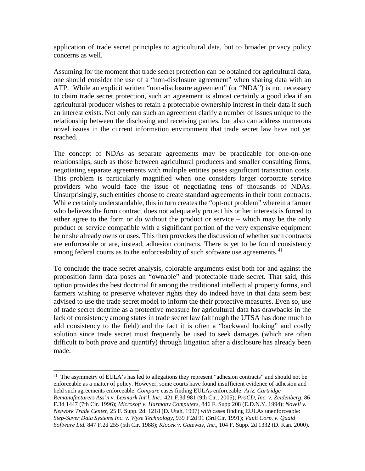application of trade secret principles to agricultural data, but to broader privacy policy concerns as well.

Assuming for the moment that trade secret protection can be obtained for agricultural data, one should consider the use of a "non-disclosure agreement" when sharing data with an ATP. While an explicit written "non-disclosure agreement" (or "NDA") is not necessary to claim trade secret protection, such an agreement is almost certainly a good idea if an agricultural producer wishes to retain a protectable ownership interest in their data if such an interest exists. Not only can such an agreement clarify a number of issues unique to the relationship between the disclosing and receiving parties, but also can address numerous novel issues in the current information environment that trade secret law have not yet reached.

The concept of NDAs as separate agreements may be practicable for one-on-one relationships, such as those between agricultural producers and smaller consulting firms, negotiating separate agreements with multiple entities poses significant transaction costs. This problem is particularly magnified when one considers larger corporate service providers who would face the issue of negotiating tens of thousands of NDAs. Unsurprisingly, such entities choose to create standard agreements in their form contracts. While certainly understandable, this in turn creates the "opt-out problem" wherein a farmer who believes the form contract does not adequately protect his or her interests is forced to either agree to the form or do without the product or service – which may be the only product or service compatible with a significant portion of the very expensive equipment he or she already owns or uses. This then provokes the discussion of whether such contracts are enforceable or are, instead, adhesion contracts. There is yet to be found consistency among federal courts as to the enforceability of such software use agreements.<sup>[41](#page-17-0)</sup>

To conclude the trade secret analysis, colorable arguments exist both for and against the proposition farm data poses an "ownable" and protectable trade secret. That said, this option provides the best doctrinal fit among the traditional intellectual property forms, and farmers wishing to preserve whatever rights they do indeed have in that data seem best advised to use the trade secret model to inform the their protective measures. Even so, use of trade secret doctrine as a protective measure for agricultural data has drawbacks in the lack of consistency among states in trade secret law (although the UTSA has done much to add consistency to the field) and the fact it is often a "backward looking" and costly solution since trade secret must frequently be used to seek damages (which are often difficult to both prove and quantify) through litigation after a disclosure has already been made.

<span id="page-17-0"></span><sup>&</sup>lt;sup>41</sup> The asymmetry of EULA's has led to allegations they represent "adhesion contracts" and should not be enforceable as a matter of policy. However, some courts have found insufficient evidence of adhesion and held such agreements enforceable. *Compare* cases finding EULAs enforceable: *Ariz. Cartridge Remanufacturers Ass'n v. Lexmark Int'l, Inc.,* 421 F.3d 981 (9th Cir., 2005); *ProCD, Inc. v. Zeidenberg*, 86 F.3d 1447 (7th Cir. 1996); *Microsoft v. Harmony Computers,* 846 F. Supp 208 (E.D.N.Y. 1994); *Novell v. Network Trade Center,* 25 F. Supp. 2d. 1218 (D. Utah, 1997) *with* cases finding EULAs unenforceable: *Step-Saver Data Systems Inc. v. Wyse Technology*, 939 F.2d 91 (3rd Cir. 1991); *Vault Corp. v. Quaid Software Ltd.* 847 F.2d 255 (5th Cir. 1988); *Klocek v. Gateway, Inc.,* 104 F. Supp. 2d 1332 (D. Kan. 2000).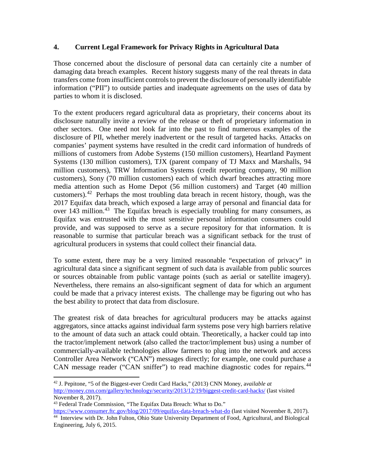### **4. Current Legal Framework for Privacy Rights in Agricultural Data**

Those concerned about the disclosure of personal data can certainly cite a number of damaging data breach examples. Recent history suggests many of the real threats in data transfers come from insufficient controls to prevent the disclosure of personally identifiable information ("PII") to outside parties and inadequate agreements on the uses of data by parties to whom it is disclosed.

To the extent producers regard agricultural data as proprietary, their concerns about its disclosure naturally invite a review of the release or theft of proprietary information in other sectors. One need not look far into the past to find numerous examples of the disclosure of PII, whether merely inadvertent or the result of targeted hacks. Attacks on companies' payment systems have resulted in the credit card information of hundreds of millions of customers from Adobe Systems (150 million customers), Heartland Payment Systems (130 million customers), TJX (parent company of TJ Maxx and Marshalls, 94 million customers), TRW Information Systems (credit reporting company, 90 million customers), Sony (70 million customers) each of which dwarf breaches attracting more media attention such as Home Depot (56 million customers) and Target (40 million customers).<sup>[42](#page-18-0)</sup> Perhaps the most troubling data breach in recent history, though, was the 2017 Equifax data breach, which exposed a large array of personal and financial data for over 1[43](#page-18-1) million.<sup>43</sup> The Equifax breach is especially troubling for many consumers, as Equifax was entrusted with the most sensitive personal information consumers could provide, and was supposed to serve as a secure repository for that information. It is reasonable to surmise that particular breach was a significant setback for the trust of agricultural producers in systems that could collect their financial data.

To some extent, there may be a very limited reasonable "expectation of privacy" in agricultural data since a significant segment of such data is available from public sources or sources obtainable from public vantage points (such as aerial or satellite imagery). Nevertheless, there remains an also-significant segment of data for which an argument could be made that a privacy interest exists. The challenge may be figuring out who has the best ability to protect that data from disclosure.

The greatest risk of data breaches for agricultural producers may be attacks against aggregators, since attacks against individual farm systems pose very high barriers relative to the amount of data such an attack could obtain. Theoretically, a hacker could tap into the tractor/implement network (also called the tractor/implement bus) using a number of commercially-available technologies allow farmers to plug into the network and access Controller Area Network ("CAN") messages directly; for example, one could purchase a CAN message reader ("CAN sniffer") to read machine diagnostic codes for repairs.<sup>[44](#page-18-2)</sup>

<span id="page-18-0"></span><sup>42</sup> J. Pepitone, "5 of the Biggest-ever Credit Card Hacks," (2013) CNN Money, a*vailable at* <http://money.cnn.com/gallery/technology/security/2013/12/19/biggest-credit-card-hacks/> (last visited November 8, 2017).

<span id="page-18-1"></span><sup>43</sup> Federal Trade Commission, "The Equifax Data Breach: What to Do."

<span id="page-18-2"></span><https://www.consumer.ftc.gov/blog/2017/09/equifax-data-breach-what-do> (last visited November 8, 2017). 44 Interview with Dr. John Fulton, Ohio State University Department of Food, Agricultural, and Biological Engineering, July 6, 2015.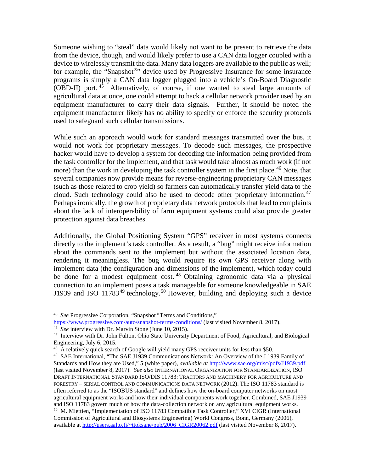Someone wishing to "steal" data would likely not want to be present to retrieve the data from the device, though, and would likely prefer to use a CAN data logger coupled with a device to wirelessly transmit the data. Many data loggers are available to the public as well; for example, the "Snapshot<sup>®</sup>" device used by Progressive Insurance for some insurance programs is simply a CAN data logger plugged into a vehicle's On-Board Diagnostic (OBD-II) port. [45](#page-19-0) Alternatively, of course, if one wanted to steal large amounts of agricultural data at once, one could attempt to hack a cellular network provider used by an equipment manufacturer to carry their data signals. Further, it should be noted the equipment manufacturer likely has no ability to specify or enforce the security protocols used to safeguard such cellular transmissions.

While such an approach would work for standard messages transmitted over the bus, it would not work for proprietary messages. To decode such messages, the prospective hacker would have to develop a system for decoding the information being provided from the task controller for the implement, and that task would take almost as much work (if not more) than the work in developing the task controller system in the first place.<sup>[46](#page-19-1)</sup> Note, that several companies now provide means for reverse-engineering proprietary CAN messages (such as those related to crop yield) so farmers can automatically transfer yield data to the cloud. Such technology could also be used to decode other proprietary information.<sup>[47](#page-19-2)</sup> Perhaps ironically, the growth of proprietary data network protocols that lead to complaints about the lack of interoperability of farm equipment systems could also provide greater protection against data breaches.

Additionally, the Global Positioning System "GPS" receiver in most systems connects directly to the implement's task controller. As a result, a "bug" might receive information about the commands sent to the implement but without the associated location data, rendering it meaningless. The bug would require its own GPS receiver along with implement data (the configuration and dimensions of the implement), which today could be done for a modest equipment cost. <sup>[48](#page-19-3)</sup> Obtaining agronomic data via a physical connection to an implement poses a task manageable for someone knowledgeable in SAE J1939 and ISO  $11783^{49}$  $11783^{49}$  $11783^{49}$  technology.<sup>[50](#page-19-5)</sup> However, building and deploying such a device

<span id="page-19-0"></span><sup>45</sup> *See* Progressive Corporation, "Snapshot® Terms and Conditions,"

<https://www.progressive.com/auto/snapshot-terms-conditions/> (last visited November 8, 2017).<br><sup>46</sup> See interview with Dr. Marvin Stone (June 10, 2015).

<span id="page-19-1"></span>

<span id="page-19-2"></span><sup>&</sup>lt;sup>47</sup> Interview with Dr. John Fulton, Ohio State University Department of Food, Agricultural, and Biological Engineering, July 6, 2015.

<span id="page-19-3"></span><sup>48</sup> A relatively quick search of Google will yield many GPS receiver units for less than \$50.

<span id="page-19-4"></span><sup>49</sup> SAE International, "The SAE J1939 Communications Network: An Overview of the J 1939 Family of Standards and How they are Used," 5 (white paper), *available at* <http://www.sae.org/misc/pdfs/J1939.pdf> (last visited November 8, 2017). *See also* INTERNATIONAL ORGANIZATION FOR STANDARDIZATION, ISO DRAFT INTERNATIONAL STANDARD ISO/DIS 11783: TRACTORS AND MACHINERY FOR AGRICULTURE AND FORESTRY – SERIAL CONTROL AND COMMUNICATIONS DATA NETWORK (2012). The ISO 11783 standard is often referred to as the "ISOBUS standard" and defines how the on-board computer networks on most agricultural equipment works and how their individual components work together. Combined, SAE J1939 and ISO 11783 govern much of how the data-collection network on any agricultural equipment works. 50 M. Miettien, "Implementation of ISO 11783 Compatible Task Controller," XVI CIGR (International

<span id="page-19-5"></span>Commission of Agricultural and Biosystems Engineering) World Congress, Bonn, Germany (2006), available at [http://users.aalto.fi/~ttoksane/pub/2006\\_CIGR20062.pdf](http://users.aalto.fi/%7Ettoksane/pub/2006_CIGR20062.pdf) (last visited November 8, 2017).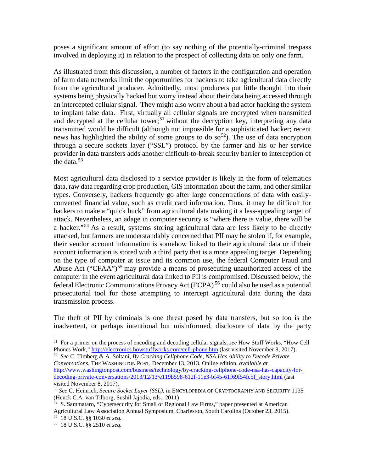poses a significant amount of effort (to say nothing of the potentially-criminal trespass involved in deploying it) in relation to the prospect of collecting data on only one farm.

As illustrated from this discussion, a number of factors in the configuration and operation of farm data networks limit the opportunities for hackers to take agricultural data directly from the agricultural producer. Admittedly, most producers put little thought into their systems being physically hacked but worry instead about their data being accessed through an intercepted cellular signal. They might also worry about a bad actor hacking the system to implant false data. First, virtually all cellular signals are encrypted when transmitted and decrypted at the cellular tower;<sup>[51](#page-20-0)</sup> without the decryption key, interpreting any data transmitted would be difficult (although not impossible for a sophisticated hacker; recent news has highlighted the ability of some groups to do so<sup>[52](#page-20-1)</sup>). The use of data encryption through a secure sockets layer ("SSL") protocol by the farmer and his or her service provider in data transfers adds another difficult-to-break security barrier to interception of the data. $53$ 

Most agricultural data disclosed to a service provider is likely in the form of telematics data, raw data regarding crop production, GIS information about the farm, and other similar types. Conversely, hackers frequently go after large concentrations of data with easilyconverted financial value, such as credit card information. Thus, it may be difficult for hackers to make a "quick buck" from agricultural data making it a less-appealing target of attack. Nevertheless, an adage in computer security is "where there is value, there will be a hacker."<sup>[54](#page-20-3)</sup> As a result, systems storing agricultural data are less likely to be directly attacked, but farmers are understandably concerned that PII may be stolen if, for example, their vendor account information is somehow linked to their agricultural data or if their account information is stored with a third party that is a more appealing target. Depending on the type of computer at issue and its common use, the federal Computer Fraud and Abuse Act ("CFAA")<sup>[55](#page-20-4)</sup> may provide a means of prosecuting unauthorized access of the computer in the event agricultural data linked to PII is compromised. Discussed below, the federal Electronic Communications Privacy Act (ECPA) [56](#page-20-5) could also be used as a potential prosecutorial tool for those attempting to intercept agricultural data during the data transmission process.

The theft of PII by criminals is one threat posed by data transfers, but so too is the inadvertent, or perhaps intentional but misinformed, disclosure of data by the party

<span id="page-20-1"></span><sup>52</sup> See C. Timberg & A. Soltani, *By Cracking Cellphone Code, NSA Has Ability to Decode Private Conversations*, THE WASHINGTON POST, December 13, 2013. Online edition, *available at* [http://www.washingtonpost.com/business/technology/by-cracking-cellphone-code-nsa-has-capacity-for](http://www.washingtonpost.com/business/technology/by-cracking-cellphone-code-nsa-has-capacity-for-decoding-private-conversations/2013/12/13/e119b598-612f-11e3-bf45-61f69f54fc5f_story.html)[decoding-private-conversations/2013/12/13/e119b598-612f-11e3-bf45-61f69f54fc5f\\_story.html](http://www.washingtonpost.com/business/technology/by-cracking-cellphone-code-nsa-has-capacity-for-decoding-private-conversations/2013/12/13/e119b598-612f-11e3-bf45-61f69f54fc5f_story.html) (last visited November 8, 2017).

<span id="page-20-0"></span><sup>&</sup>lt;sup>51</sup> For a primer on the process of encoding and decoding cellular signals, *see* How Stuff Works, "How Cell Phones Work," http://electronics.howstuffworks.com/cell-phone.htm (last visited November 8, 2017).

<span id="page-20-2"></span><sup>53</sup> *See* C. Heinrich, *Secure Socket Layer (SSL)*, in ENCYLOPEDIA OF CRYPTOGRAPHY AND SECURITY 1135 (Henck C.A. van Tilborg, Sushil Jajodia, eds., 2011)

<span id="page-20-3"></span> $<sup>54</sup>$  S. Sammataro, "Cybersecurity for Small or Regional Law Firms," paper presented at American</sup> Agricultural Law Association Annual Symposium, Charleston, South Carolina (October 23, 2015). 55 18 U.S.C. §§ 1030 *et seq.*

<span id="page-20-5"></span><span id="page-20-4"></span><sup>56 18</sup> U.S.C. §§ 2510 *et seq.*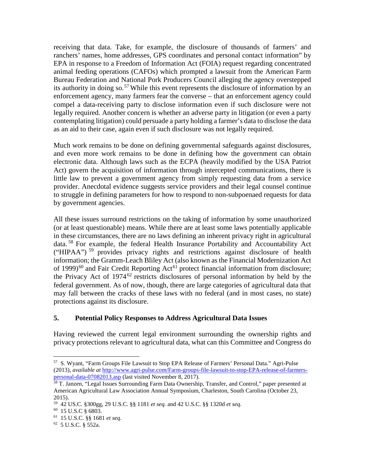receiving that data. Take, for example, the disclosure of thousands of farmers' and ranchers' names, home addresses, GPS coordinates and personal contact information" by EPA in response to a Freedom of Information Act (FOIA) request regarding concentrated animal feeding operations (CAFOs) which prompted a lawsuit from the American Farm Bureau Federation and National Pork Producers Council alleging the agency overstepped its authority in doing so.<sup>[57](#page-21-0)</sup> While this event represents the disclosure of information by an enforcement agency, many farmers fear the converse – that an enforcement agency could compel a data-receiving party to disclose information even if such disclosure were not legally required. Another concern is whether an adverse party in litigation (or even a party contemplating litigation) could persuade a party holding a farmer's data to disclose the data as an aid to their case, again even if such disclosure was not legally required.

Much work remains to be done on defining governmental safeguards against disclosures, and even more work remains to be done in defining how the government can obtain electronic data. Although laws such as the ECPA (heavily modified by the USA Patriot Act) govern the acquisition of information through intercepted communications, there is little law to prevent a government agency from simply requesting data from a service provider. Anecdotal evidence suggests service providers and their legal counsel continue to struggle in defining parameters for how to respond to non-subpoenaed requests for data by government agencies.

All these issues surround restrictions on the taking of information by some unauthorized (or at least questionable) means. While there are at least some laws potentially applicable in these circumstances, there are no laws defining an inherent privacy right in agricultural data. [58](#page-21-1) For example, the federal Health Insurance Portability and Accountability Act ("HIPAA") [59](#page-21-2) provides privacy rights and restrictions against disclosure of health information; the Gramm-Leach Bliley Act (also known as the Financial Modernization Act of 1999) $^{60}$  $^{60}$  $^{60}$  and Fair Credit Reporting Act<sup>[61](#page-21-4)</sup> protect financial information from disclosure; the Privacy Act of  $1974^{62}$  $1974^{62}$  $1974^{62}$  restricts disclosures of personal information by held by the federal government. As of now, though, there are large categories of agricultural data that may fall between the cracks of these laws with no federal (and in most cases, no state) protections against its disclosure.

## **5. Potential Policy Responses to Address Agricultural Data Issues**

Having reviewed the current legal environment surrounding the ownership rights and privacy protections relevant to agricultural data, what can this Committee and Congress do

<span id="page-21-0"></span>57 S. Wyant, "Farm Groups File Lawsuit to Stop EPA Release of Farmers' Personal Data." Agri-Pulse (2013), *available at* [http://www.agri-pulse.com/Farm-groups-file-lawsuit-to-stop-EPA-release-of-farmers-](http://www.agri-pulse.com/Farm-groups-file-lawsuit-to-stop-EPA-release-of-farmers-personal-data-07082013.asp)

<span id="page-21-1"></span><sup>&</sup>lt;sup>58</sup> T. Janzen, "Legal Issues Surrounding Farm Data Ownership, Transfer, and Control," paper presented at American Agricultural Law Association Annual Symposium, Charleston, South Carolina (October 23, 2015).

<span id="page-21-2"></span><sup>59 42</sup> US.C. §300gg, 29 U.S.C. §§ 1181 *et seq.* and 42 U.S.C. §§ 1320d *et seq.*

<span id="page-21-3"></span><sup>60 15</sup> U.S.C § 6803.

<span id="page-21-5"></span><span id="page-21-4"></span><sup>61 15</sup> U.S.C. §§ 1681 *et seq.*

 $62$  5 U.S.C. § 552a.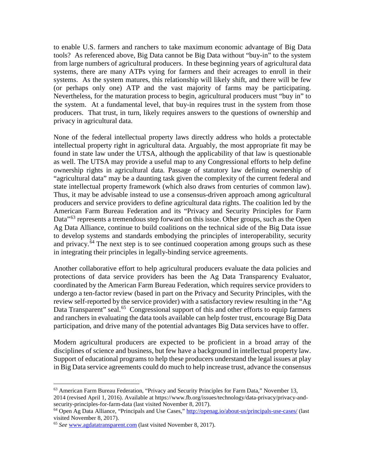to enable U.S. farmers and ranchers to take maximum economic advantage of Big Data tools? As referenced above, Big Data cannot be Big Data without "buy-in" to the system from large numbers of agricultural producers. In these beginning years of agricultural data systems, there are many ATPs vying for farmers and their acreages to enroll in their systems. As the system matures, this relationship will likely shift, and there will be few (or perhaps only one) ATP and the vast majority of farms may be participating. Nevertheless, for the maturation process to begin, agricultural producers must "buy in" to the system. At a fundamental level, that buy-in requires trust in the system from those producers. That trust, in turn, likely requires answers to the questions of ownership and privacy in agricultural data.

None of the federal intellectual property laws directly address who holds a protectable intellectual property right in agricultural data. Arguably, the most appropriate fit may be found in state law under the UTSA, although the applicability of that law is questionable as well. The UTSA may provide a useful map to any Congressional efforts to help define ownership rights in agricultural data. Passage of statutory law defining ownership of "agricultural data" may be a daunting task given the complexity of the current federal and state intellectual property framework (which also draws from centuries of common law). Thus, it may be advisable instead to use a consensus-driven approach among agricultural producers and service providers to define agricultural data rights. The coalition led by the American Farm Bureau Federation and its "Privacy and Security Principles for Farm Data<sup>"[63](#page-22-0)</sup> represents a tremendous step forward on this issue. Other groups, such as the Open Ag Data Alliance, continue to build coalitions on the technical side of the Big Data issue to develop systems and standards embodying the principles of interoperability, security and privacy.<sup>[64](#page-22-1)</sup> The next step is to see continued cooperation among groups such as these in integrating their principles in legally-binding service agreements.

Another collaborative effort to help agricultural producers evaluate the data policies and protections of data service providers has been the Ag Data Transparency Evaluator, coordinated by the American Farm Bureau Federation, which requires service providers to undergo a ten-factor review (based in part on the Privacy and Security Principles, with the review self-reported by the service provider) with a satisfactory review resulting in the "Ag Data Transparent" seal.<sup>65</sup> Congressional support of this and other efforts to equip farmers and ranchers in evaluating the data tools available can help foster trust, encourage Big Data participation, and drive many of the potential advantages Big Data services have to offer.

Modern agricultural producers are expected to be proficient in a broad array of the disciplines of science and business, but few have a background in intellectual property law. Support of educational programs to help these producers understand the legal issues at play in Big Data service agreements could do much to help increase trust, advance the consensus

<span id="page-22-0"></span> $63$  American Farm Bureau Federation, "Privacy and Security Principles for Farm Data," November 13, 2014 (revised April 1, 2016). Available at https://www.fb.org/issues/technology/data-privacy/privacy-and-

<span id="page-22-1"></span> $64$  Open Ag Data Alliance, "Principals and Use Cases,"<http://openag.io/about-us/principals-use-cases/> (last visited November 8, 2017).

<span id="page-22-2"></span><sup>65</sup> *See* [www.agdatatransparent.com](http://www.agdatatransparent.com/) (last visited November 8, 2017).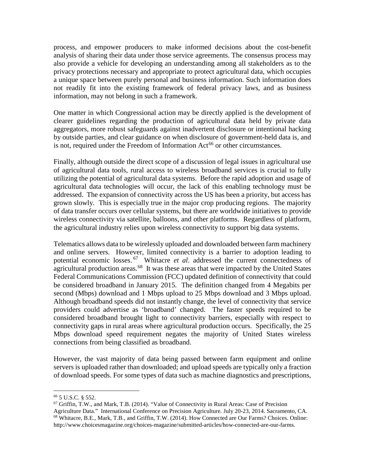process, and empower producers to make informed decisions about the cost-benefit analysis of sharing their data under those service agreements. The consensus process may also provide a vehicle for developing an understanding among all stakeholders as to the privacy protections necessary and appropriate to protect agricultural data, which occupies a unique space between purely personal and business information. Such information does not readily fit into the existing framework of federal privacy laws, and as business information, may not belong in such a framework.

One matter in which Congressional action may be directly applied is the development of clearer guidelines regarding the production of agricultural data held by private data aggregators, more robust safeguards against inadvertent disclosure or intentional hacking by outside parties, and clear guidance on when disclosure of government-held data is, and is not, required under the Freedom of Information  $Act^{66}$  $Act^{66}$  $Act^{66}$  or other circumstances.

Finally, although outside the direct scope of a discussion of legal issues in agricultural use of agricultural data tools, rural access to wireless broadband services is crucial to fully utilizing the potential of agricultural data systems. Before the rapid adoption and usage of agricultural data technologies will occur, the lack of this enabling technology must be addressed. The expansion of connectivity across the US has been a priority, but access has grown slowly. This is especially true in the major crop producing regions. The majority of data transfer occurs over cellular systems, but there are worldwide initiatives to provide wireless connectivity via satellite, balloons, and other platforms. Regardless of platform, the agricultural industry relies upon wireless connectivity to support big data systems.

Telematics allows data to be wirelessly uploaded and downloaded between farm machinery and online servers. However, limited connectivity is a barrier to adoption leading to potential economic losses. [67](#page-23-1) Whitacre *et al*. addressed the current connectedness of agricultural production areas.<sup>[68](#page-23-2)</sup> It was these areas that were impacted by the United States Federal Communications Commission (FCC) updated definition of connectivity that could be considered broadband in January 2015. The definition changed from 4 Megabits per second (Mbps) download and 1 Mbps upload to 25 Mbps download and 3 Mbps upload. Although broadband speeds did not instantly change, the level of connectivity that service providers could advertise as 'broadband' changed. The faster speeds required to be considered broadband brought light to connectivity barriers, especially with respect to connectivity gaps in rural areas where agricultural production occurs. Specifically, the 25 Mbps download speed requirement negates the majority of United States wireless connections from being classified as broadband.

However, the vast majority of data being passed between farm equipment and online servers is uploaded rather than downloaded; and upload speeds are typically only a fraction of download speeds. For some types of data such as machine diagnostics and prescriptions,

<sup>66</sup> 5 U.S.C. § 552.

<span id="page-23-2"></span><span id="page-23-1"></span><span id="page-23-0"></span> $^{67}$  Griffin, T.W., and Mark, T.B. (2014). "Value of Connectivity in Rural Areas: Case of Precision Agriculture Data." International Conference on Precision Agriculture. July 20-23, 2014. Sacramento, CA. <sup>68</sup> Whitacre, B.E., Mark, T.B., and Griffin, T.W. (2014). How Connected are Our Farms? Choices. Online: http://www.choicesmagazine.org/choices-magazine/submitted-articles/how-connected-are-our-farms.